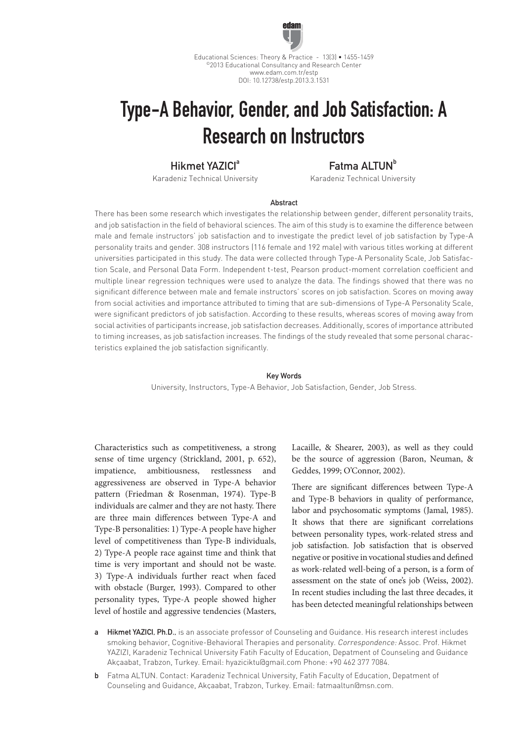

Educational Sciences: Theory & Practice - 13(3) • 1455-1459 ©2013 Educational Consultancy and Research Center www.edam.com.tr/estp DOI: 10.12738/estp.2013.3.1531

# Type-A Behavior, Gender, and Job Satisfaction: A Research on Instructors

# Hikmet YAZICI<sup>a</sup>

Karadeniz Technical University

# Fatma ALTUN<sup>b</sup>

Karadeniz Technical University

#### **Abstract**

There has been some research which investigates the relationship between gender, different personality traits, and job satisfaction in the field of behavioral sciences. The aim of this study is to examine the difference between male and female instructors' job satisfaction and to investigate the predict level of job satisfaction by Type-A personality traits and gender. 308 instructors (116 female and 192 male) with various titles working at different universities participated in this study. The data were collected through Type-A Personality Scale, Job Satisfaction Scale, and Personal Data Form. Independent t-test, Pearson product-moment correlation coefficient and multiple linear regression techniques were used to analyze the data. The findings showed that there was no significant difference between male and female instructors' scores on job satisfaction. Scores on moving away from social activities and importance attributed to timing that are sub-dimensions of Type-A Personality Scale, were significant predictors of job satisfaction. According to these results, whereas scores of moving away from social activities of participants increase, job satisfaction decreases. Additionally, scores of importance attributed to timing increases, as job satisfaction increases. The findings of the study revealed that some personal characteristics explained the job satisfaction significantly.

#### Key Words

University, Instructors, Type-A Behavior, Job Satisfaction, Gender, Job Stress.

Characteristics such as competitiveness, a strong sense of time urgency (Strickland, 2001, p. 652), impatience, ambitiousness, restlessness and aggressiveness are observed in Type-A behavior pattern (Friedman & Rosenman, 1974). Type-B individuals are calmer and they are not hasty. There are three main differences between Type-A and Type-B personalities: 1) Type-A people have higher level of competitiveness than Type-B individuals, 2) Type-A people race against time and think that time is very important and should not be waste. 3) Type-A individuals further react when faced with obstacle (Burger, 1993). Compared to other personality types, Type-A people showed higher level of hostile and aggressive tendencies (Masters, Lacaille, & Shearer, 2003), as well as they could be the source of aggression (Baron, Neuman, & Geddes, 1999; O'Connor, 2002).

There are significant differences between Type-A and Type-B behaviors in quality of performance, labor and psychosomatic symptoms (Jamal, 1985). It shows that there are significant correlations between personality types, work-related stress and job satisfaction. Job satisfaction that is observed negative or positive in vocational studies and defined as work-related well-being of a person, is a form of assessment on the state of one's job (Weiss, 2002). In recent studies including the last three decades, it has been detected meaningful relationships between

- Hikmet YAZICI, Ph.D., is an associate professor of Counseling and Guidance. His research interest includes smoking behavior, Cognitive-Behavioral Therapies and personality. Correspondence: Assoc. Prof. Hikmet YAZIZI, Karadeniz Technical University Fatih Faculty of Education, Depatment of Counseling and Guidance Akçaabat, Trabzon, Turkey. Email: hyaziciktu@gmail.com Phone: +90 462 377 7084.
- b Fatma ALTUN. Contact: Karadeniz Technical University, Fatih Faculty of Education, Depatment of Counseling and Guidance, Akçaabat, Trabzon, Turkey. Email: fatmaaltun@msn.com.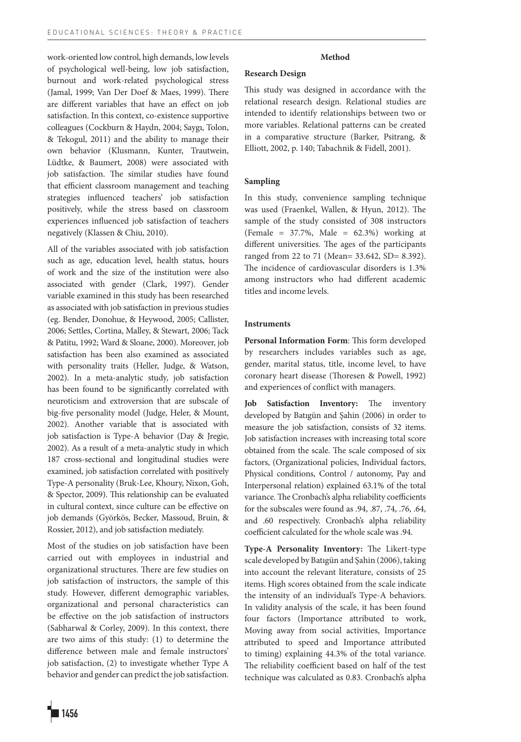work-oriented low control, high demands, low levels of psychological well-being, low job satisfaction, burnout and work-related psychological stress (Jamal, 1999; Van Der Doef & Maes, 1999). There are different variables that have an effect on job satisfaction. In this context, co-existence supportive colleagues (Cockburn & Haydn, 2004; Saygı, Tolon, & Tekogul, 2011) and the ability to manage their own behavior (Klusmann, Kunter, Trautwein, Lüdtke, & Baumert, 2008) were associated with job satisfaction. The similar studies have found that efficient classroom management and teaching strategies influenced teachers' job satisfaction positively, while the stress based on classroom experiences influenced job satisfaction of teachers negatively (Klassen & Chiu, 2010).

All of the variables associated with job satisfaction such as age, education level, health status, hours of work and the size of the institution were also associated with gender (Clark, 1997). Gender variable examined in this study has been researched as associated with job satisfaction in previous studies (eg. Bender, Donohue, & Heywood, 2005; Callister, 2006; Settles, Cortina, Malley, & Stewart, 2006; Tack & Patitu, 1992; Ward & Sloane, 2000). Moreover, job satisfaction has been also examined as associated with personality traits (Heller, Judge, & Watson, 2002). In a meta-analytic study, job satisfaction has been found to be significantly correlated with neuroticism and extroversion that are subscale of big-five personality model (Judge, Heler, & Mount, 2002). Another variable that is associated with job satisfaction is Type-A behavior (Day & Jregie, 2002). As a result of a meta-analytic study in which 187 cross-sectional and longitudinal studies were examined, job satisfaction correlated with positively Type-A personality (Bruk-Lee, Khoury, Nixon, Goh, & Spector, 2009). This relationship can be evaluated in cultural context, since culture can be effective on job demands (Györkös, Becker, Massoud, Bruin, & Rossier, 2012), and job satisfaction mediately.

Most of the studies on job satisfaction have been carried out with employees in industrial and organizational structures. There are few studies on job satisfaction of instructors, the sample of this study. However, different demographic variables, organizational and personal characteristics can be effective on the job satisfaction of instructors (Sabharwal & Corley, 2009). In this context, there are two aims of this study: (1) to determine the difference between male and female instructors' job satisfaction, (2) to investigate whether Type A behavior and gender can predict the job satisfaction.

# **Method**

## **Research Design**

This study was designed in accordance with the relational research design. Relational studies are intended to identify relationships between two or more variables. Relational patterns can be created in a comparative structure (Barker, Psitrang, & Elliott, 2002, p. 140; Tabachnik & Fidell, 2001).

### **Sampling**

In this study, convenience sampling technique was used (Fraenkel, Wallen, & Hyun, 2012). The sample of the study consisted of 308 instructors (Female = 37.7%, Male = 62.3%) working at different universities. The ages of the participants ranged from 22 to 71 (Mean= 33.642, SD= 8.392). The incidence of cardiovascular disorders is 1.3% among instructors who had different academic titles and income levels.

# **Instruments**

**Personal Information Form**: This form developed by researchers includes variables such as age, gender, marital status, title, income level, to have coronary heart disease (Thoresen & Powell, 1992) and experiences of conflict with managers.

**Job Satisfaction Inventory:** The inventory developed by Batıgün and Şahin (2006) in order to measure the job satisfaction, consists of 32 items. Job satisfaction increases with increasing total score obtained from the scale. The scale composed of six factors, (Organizational policies, Individual factors, Physical conditions, Control / autonomy, Pay and Interpersonal relation) explained 63.1% of the total variance. The Cronbach's alpha reliability coefficients for the subscales were found as .94, .87, .74, .76, .64, and .60 respectively. Cronbach's alpha reliability coefficient calculated for the whole scale was .94.

**Type-A Personality Inventory:** The Likert-type scale developed by Batıgün and Şahin (2006), taking into account the relevant literature, consists of 25 items. High scores obtained from the scale indicate the intensity of an individual's Type-A behaviors. In validity analysis of the scale, it has been found four factors (Importance attributed to work, Moving away from social activities, Importance attributed to speed and Importance attributed to timing) explaining 44.3% of the total variance. The reliability coefficient based on half of the test technique was calculated as 0.83. Cronbach's alpha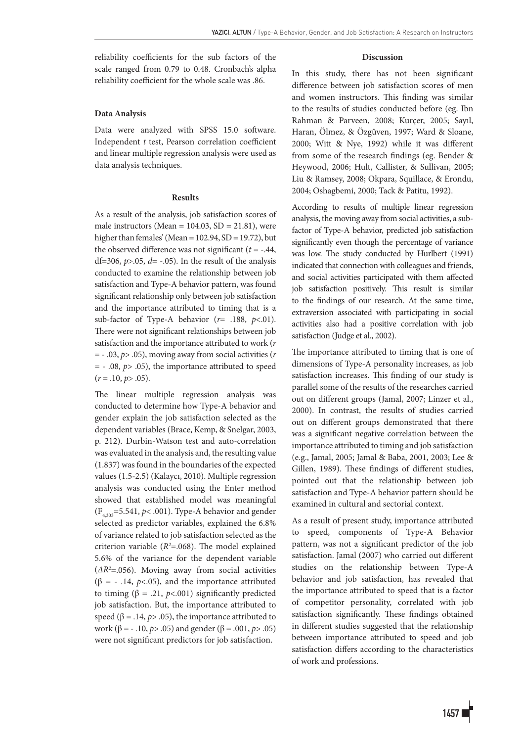reliability coefficients for the sub factors of the scale ranged from 0.79 to 0.48. Cronbach's alpha reliability coefficient for the whole scale was .86.

## **Data Analysis**

Data were analyzed with SPSS 15.0 software. Independent *t* test, Pearson correlation coefficient and linear multiple regression analysis were used as data analysis techniques.

#### **Results**

As a result of the analysis, job satisfaction scores of male instructors (Mean =  $104.03$ , SD =  $21.81$ ), were higher than females' (Mean =  $102.94$ , SD =  $19.72$ ), but the observed difference was not significant  $(t = -.44, ...)$ df=306,  $p > 0.05$ ,  $d = -0.05$ ). In the result of the analysis conducted to examine the relationship between job satisfaction and Type-A behavior pattern, was found significant relationship only between job satisfaction and the importance attributed to timing that is a sub-factor of Type-A behavior (*r*= .188, *p*<.01). There were not significant relationships between job satisfaction and the importance attributed to work (*r*  = - .03, *p*> .05), moving away from social activities (*r* = - .08, *p*> .05), the importance attributed to speed  $(r=.10, p>.05).$ 

The linear multiple regression analysis was conducted to determine how Type-A behavior and gender explain the job satisfaction selected as the dependent variables (Brace, Kemp, & Snelgar, 2003, p. 212). Durbin-Watson test and auto-correlation was evaluated in the analysis and, the resulting value (1.837) was found in the boundaries of the expected values (1.5-2.5) (Kalaycı, 2010). Multiple regression analysis was conducted using the Enter method showed that established model was meaningful (F4,303=5.541, *p*< .001). Type-A behavior and gender selected as predictor variables, explained the 6.8% of variance related to job satisfaction selected as the criterion variable  $(R^2 = .068)$ . The model explained 5.6% of the variance for the dependent variable (*ΔR2* =.056). Moving away from social activities ( $\beta$  = - .14, *p*<.05), and the importance attributed to timing ( $β = .21$ ,  $p < .001$ ) significantly predicted job satisfaction. But, the importance attributed to speed ( $\beta$  = .14,  $p$  > .05), the importance attributed to work (β = - .10, *p*> .05) and gender (β = .001, *p*> .05) were not significant predictors for job satisfaction.

#### **Discussion**

In this study, there has not been significant difference between job satisfaction scores of men and women instructors. This finding was similar to the results of studies conducted before (eg. Ibn Rahman & Parveen, 2008; Kurçer, 2005; Sayıl, Haran, Ölmez, & Özgüven, 1997; Ward & Sloane, 2000; Witt & Nye, 1992) while it was different from some of the research findings (eg. Bender & Heywood, 2006; Hult, Callister, & Sullivan, 2005; Liu & Ramsey, 2008; Okpara, Squillace, & Erondu, 2004; Oshagbemi, 2000; Tack & Patitu, 1992).

According to results of multiple linear regression analysis, the moving away from social activities, a subfactor of Type-A behavior, predicted job satisfaction significantly even though the percentage of variance was low. The study conducted by Hurlbert (1991) indicated that connection with colleagues and friends, and social activities participated with them affected job satisfaction positively. This result is similar to the findings of our research. At the same time, extraversion associated with participating in social activities also had a positive correlation with job satisfaction (Judge et al., 2002).

The importance attributed to timing that is one of dimensions of Type-A personality increases, as job satisfaction increases. This finding of our study is parallel some of the results of the researches carried out on different groups (Jamal, 2007; Linzer et al., 2000). In contrast, the results of studies carried out on different groups demonstrated that there was a significant negative correlation between the importance attributed to timing and job satisfaction (e.g., Jamal, 2005; Jamal & Baba, 2001, 2003; Lee & Gillen, 1989). These findings of different studies, pointed out that the relationship between job satisfaction and Type-A behavior pattern should be examined in cultural and sectorial context.

As a result of present study, importance attributed to speed, components of Type-A Behavior pattern, was not a significant predictor of the job satisfaction. Jamal (2007) who carried out different studies on the relationship between Type-A behavior and job satisfaction, has revealed that the importance attributed to speed that is a factor of competitor personality, correlated with job satisfaction significantly. These findings obtained in different studies suggested that the relationship between importance attributed to speed and job satisfaction differs according to the characteristics of work and professions.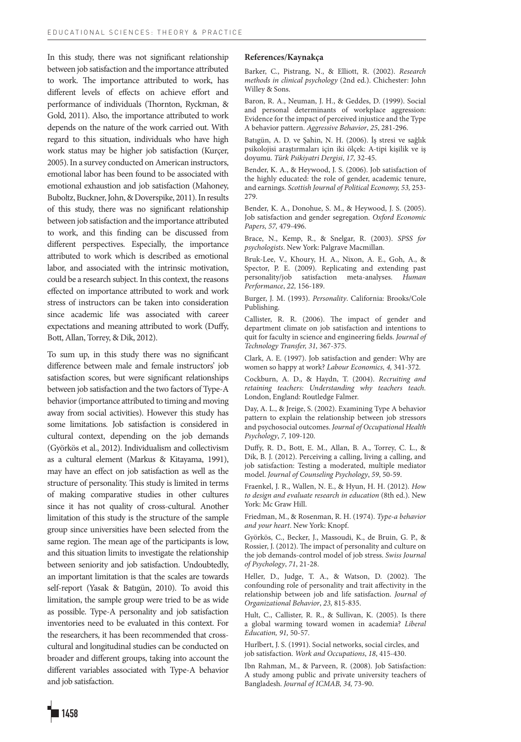In this study, there was not significant relationship between job satisfaction and the importance attributed to work. The importance attributed to work, has different levels of effects on achieve effort and performance of individuals (Thornton, Ryckman, & Gold, 2011). Also, the importance attributed to work depends on the nature of the work carried out. With regard to this situation, individuals who have high work status may be higher job satisfaction (Kurçer, 2005). In a survey conducted on American instructors, emotional labor has been found to be associated with emotional exhaustion and job satisfaction (Mahoney, Buboltz, Buckner, John, & Doverspike, 2011). In results of this study, there was no significant relationship between job satisfaction and the importance attributed to work, and this finding can be discussed from different perspectives. Especially, the importance attributed to work which is described as emotional labor, and associated with the intrinsic motivation, could be a research subject. In this context, the reasons effected on importance attributed to work and work stress of instructors can be taken into consideration since academic life was associated with career expectations and meaning attributed to work (Duffy, Bott, Allan, Torrey, & Dik, 2012).

To sum up, in this study there was no significant difference between male and female instructors' job satisfaction scores, but were significant relationships between job satisfaction and the two factors of Type-A behavior (importance attributed to timing and moving away from social activities). However this study has some limitations. Job satisfaction is considered in cultural context, depending on the job demands (Györkös et al., 2012). Individualism and collectivism as a cultural element (Markus & Kitayama, 1991), may have an effect on job satisfaction as well as the structure of personality. This study is limited in terms of making comparative studies in other cultures since it has not quality of cross-cultural. Another limitation of this study is the structure of the sample group since universities have been selected from the same region. The mean age of the participants is low, and this situation limits to investigate the relationship between seniority and job satisfaction. Undoubtedly, an important limitation is that the scales are towards self-report (Yasak & Batıgün, 2010). To avoid this limitation, the sample group were tried to be as wide as possible. Type-A personality and job satisfaction inventories need to be evaluated in this context. For the researchers, it has been recommended that crosscultural and longitudinal studies can be conducted on broader and different groups, taking into account the different variables associated with Type-A behavior and job satisfaction.

#### **References/Kaynakça**

Barker, C., Pistrang, N., & Elliott, R. (2002). *Research methods in clinical psychology* (2nd ed.). Chichester: John Willey & Sons.

Baron, R. A., Neuman, J. H., & Geddes, D. (1999). Social and personal determinants of workplace aggression: Evidence for the impact of perceived injustice and the Type A behavior pattern. *Aggressive Behavior*, *25*, 281-296.

Batıgün, A. D. ve Şahin, N. H. (2006). İş stresi ve sağlık psikolojisi araştırmaları için iki ölçek: A-tipi kişilik ve iş doyumu. *Türk Psikiyatri Dergisi*, *17,* 32-45.

Bender, K. A., & Heywood, J. S. (2006). Job satisfaction of the highly educated: the role of gender, academic tenure, and earnings. *Scottish Journal of Political Economy, 53,* 253- 279.

Bender, K. A., Donohue, S. M., & Heywood, J. S. (2005). Job satisfaction and gender segregation*. Oxford Economic Papers, 57,* 479-496.

Brace, N., Kemp, R., & Snelgar, R. (2003). *SPSS for psychologists*. New York: Palgrave Macmillan.

Bruk-Lee, V., Khoury, H. A., Nixon, A. E., Goh, A., & Spector, P. E. (2009). Replicating and extending past personality/job satisfaction meta-analyses. Human personality/job satisfaction meta-analyses. *Performance*, *22,* 156-189.

Burger, J. M. (1993). *Personality*. California: Brooks/Cole Publishing.

Callister, R. R. (2006). The impact of gender and department climate on job satisfaction and intentions to quit for faculty in science and engineering fields. *Journal of Technology Transfer, 31,* 367-375.

Clark, A. E. (1997). Job satisfaction and gender: Why are women so happy at work? *Labour Economics, 4,* 341-372.

Cockburn, A. D., & Haydn, T. (2004). *Recruiting and retaining teachers: Understanding why teachers teach.*  London, England: Routledge Falmer.

Day, A. L., & Jreige, S. (2002). Examining Type A behavior pattern to explain the relationship between job stressors and psychosocial outcomes. *Journal of Occupational Health Psychology*, *7,* 109-120.

Duffy, R. D., Bott, E. M., Allan, B. A., Torrey, C. L., & Dik, B. J. (2012). Perceiving a calling, living a calling, and job satisfaction: Testing a moderated, multiple mediator model. *Journal of Counseling Psychology*, *59*, 50-59.

Fraenkel, J. R., Wallen, N. E., & Hyun, H. H. (2012). *How to design and evaluate research in education* (8th ed.). New York: Mc Graw Hill.

Friedman, M., & Rosenman, R. H. (1974). *Type-a behavior and your heart*. New York: Knopf.

Györkös, C., Becker, J., Massoudi, K., de Bruin, G. P., & Rossier, J. (2012). The impact of personality and culture on the job demands-control model of job stress. *Swiss Journal of Psychology*, *71*, 21-28.

Heller, D., Judge, T. A., & Watson, D. (2002). The confounding role of personality and trait affectivity in the relationship between job and life satisfaction. *Journal of Organizational Behavior*, *23,* 815-835.

Hult, C., Callister, R. R., & Sullivan, K. (2005). Is there a global warming toward women in academia? *Liberal Education, 91,* 50-57.

Hurlbert, J. S. (1991). Social networks, social circles, and job satisfaction. *Work and Occupations*, *18*, 415-430.

Ibn Rahman, M., & Parveen, R. (2008). Job Satisfaction: A study among public and private university teachers of Bangladesh. *Journal of ICMAB, 34,* 73-90.